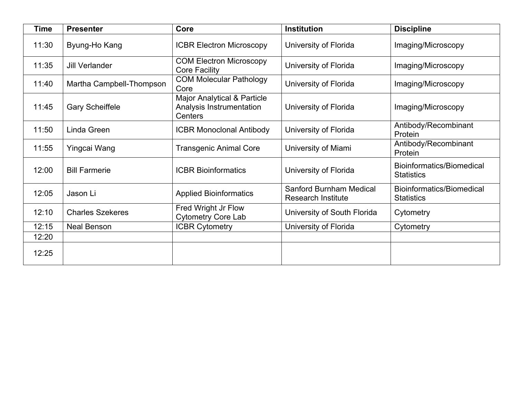| <b>Time</b> | <b>Presenter</b>         | Core                                                                          | <b>Institution</b>                                          | <b>Discipline</b>                              |
|-------------|--------------------------|-------------------------------------------------------------------------------|-------------------------------------------------------------|------------------------------------------------|
| 11:30       | Byung-Ho Kang            | <b>ICBR Electron Microscopy</b>                                               | University of Florida                                       | Imaging/Microscopy                             |
| 11:35       | <b>Jill Verlander</b>    | <b>COM Electron Microscopy</b><br><b>Core Facility</b>                        | University of Florida                                       | Imaging/Microscopy                             |
| 11:40       | Martha Campbell-Thompson | <b>COM Molecular Pathology</b><br>Core                                        | University of Florida                                       | Imaging/Microscopy                             |
| 11:45       | <b>Gary Scheiffele</b>   | <b>Major Analytical &amp; Particle</b><br>Analysis Instrumentation<br>Centers | University of Florida                                       | Imaging/Microscopy                             |
| 11:50       | Linda Green              | <b>ICBR Monoclonal Antibody</b>                                               | University of Florida                                       | Antibody/Recombinant<br>Protein                |
| 11:55       | Yingcai Wang             | <b>Transgenic Animal Core</b>                                                 | University of Miami                                         | Antibody/Recombinant<br>Protein                |
| 12:00       | <b>Bill Farmerie</b>     | <b>ICBR Bioinformatics</b>                                                    | University of Florida                                       | Bioinformatics/Biomedical<br><b>Statistics</b> |
| 12:05       | Jason Li                 | <b>Applied Bioinformatics</b>                                                 | <b>Sanford Burnham Medical</b><br><b>Research Institute</b> | Bioinformatics/Biomedical<br><b>Statistics</b> |
| 12:10       | <b>Charles Szekeres</b>  | Fred Wright Jr Flow<br><b>Cytometry Core Lab</b>                              | University of South Florida                                 | Cytometry                                      |
| 12:15       | <b>Neal Benson</b>       | <b>ICBR Cytometry</b>                                                         | University of Florida                                       | Cytometry                                      |
| 12:20       |                          |                                                                               |                                                             |                                                |
| 12:25       |                          |                                                                               |                                                             |                                                |